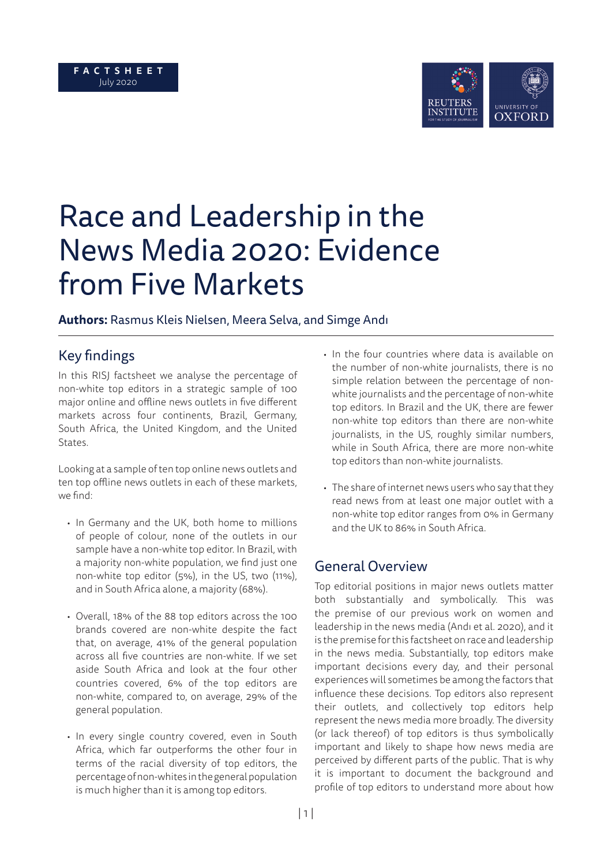

# Race and Leadership in the News Media 2020: Evidence from Five Markets

## **Authors:** Rasmus Kleis Nielsen, Meera Selva, and Simge Andı

# **Key findings**

In this RISJ factsheet we analyse the percentage of non-white top editors in a strategic sample of 100 major online and offline news outlets in five different markets across four continents, Brazil, Germany, South Africa, the United Kingdom, and the United States.

Looking at a sample of ten top online news outlets and ten top offline news outlets in each of these markets, we find:

- In Germany and the UK, both home to millions of people of colour, none of the outlets in our sample have a non-white top editor. In Brazil, with a majority non-white population, we find just one non-white top editor (5%), in the US, two (11%), and in South Africa alone, a majority (68%).
- Overall, 18% of the 88 top editors across the 100 brands covered are non-white despite the fact that, on average, 41% of the general population across all five countries are non-white. If we set aside South Africa and look at the four other countries covered, 6% of the top editors are non-white, compared to, on average, 29% of the general population.
- In every single country covered, even in South Africa, which far outperforms the other four in terms of the racial diversity of top editors, the percentage of non-whites in the general population is much higher than it is among top editors.
- In the four countries where data is available on the number of non-white journalists, there is no simple relation between the percentage of nonwhite journalists and the percentage of non-white top editors. In Brazil and the UK, there are fewer non-white top editors than there are non-white journalists, in the US, roughly similar numbers, while in South Africa, there are more non-white top editors than non-white journalists.
- The share of internet news users who say that they read news from at least one major outlet with a non-white top editor ranges from 0% in Germany and the UK to 86% in South Africa.

# General Overview

Top editorial positions in major news outlets matter both substantially and symbolically. This was the premise of our previous work on women and leadership in the news media (Andı et al. 2020), and it is the premise for this factsheet on race and leadership in the news media. Substantially, top editors make important decisions every day, and their personal experiences will sometimes be among the factors that influence these decisions. Top editors also represent their outlets, and collectively top editors help represent the news media more broadly. The diversity (or lack thereof) of top editors is thus symbolically important and likely to shape how news media are perceived by different parts of the public. That is why it is important to document the background and profile of top editors to understand more about how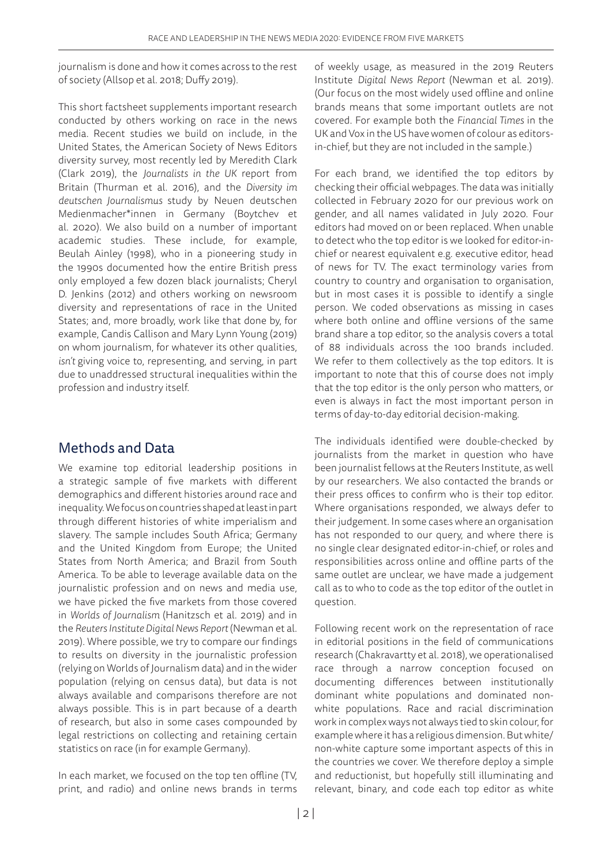journalism is done and how it comes across to the rest of society (Allsop et al. 2018; Duffy 2019).

This short factsheet supplements important research conducted by others working on race in the news media. Recent studies we build on include, in the United States, the American Society of News Editors diversity survey, most recently led by Meredith Clark (Clark 2019), the *Journalists in the UK* report from Britain (Thurman et al. 2016), and the *Diversity im deutschen Journalismus* study by Neuen deutschen Medienmacher\*innen in Germany (Boytchev et al. 2020). We also build on a number of important academic studies. These include, for example, Beulah Ainley (1998), who in a pioneering study in the 1990s documented how the entire British press only employed a few dozen black journalists; Cheryl D. Jenkins (2012) and others working on newsroom diversity and representations of race in the United States; and, more broadly, work like that done by, for example, Candis Callison and Mary Lynn Young (2019) on whom journalism, for whatever its other qualities, *isn't* giving voice to, representing, and serving, in part due to unaddressed structural inequalities within the profession and industry itself.

## Methods and Data

We examine top editorial leadership positions in a strategic sample of five markets with different demographics and different histories around race and inequality. We focus on countries shaped at least in part through different histories of white imperialism and slavery. The sample includes South Africa; Germany and the United Kingdom from Europe; the United States from North America; and Brazil from South America. To be able to leverage available data on the journalistic profession and on news and media use, we have picked the five markets from those covered in *Worlds of Journalism* (Hanitzsch et al. 2019) and in the *Reuters Institute Digital News Report* (Newman et al. 2019). Where possible, we try to compare our findings to results on diversity in the journalistic profession (relying on Worlds of Journalism data) and in the wider population (relying on census data), but data is not always available and comparisons therefore are not always possible. This is in part because of a dearth of research, but also in some cases compounded by legal restrictions on collecting and retaining certain statistics on race (in for example Germany).

In each market, we focused on the top ten offline (TV, print, and radio) and online news brands in terms

of weekly usage, as measured in the 2019 Reuters Institute *Digital News Report* (Newman et al. 2019). (Our focus on the most widely used offline and online brands means that some important outlets are not covered. For example both the *Financial Times* in the UK and Vox in the US have women of colour as editorsin-chief, but they are not included in the sample.)

For each brand, we identified the top editors by checking their official webpages. The data was initially collected in February 2020 for our previous work on gender, and all names validated in July 2020. Four editors had moved on or been replaced. When unable to detect who the top editor is we looked for editor-inchief or nearest equivalent e.g. executive editor, head of news for TV. The exact terminology varies from country to country and organisation to organisation, but in most cases it is possible to identify a single person. We coded observations as missing in cases where both online and offline versions of the same brand share a top editor, so the analysis covers a total of 88 individuals across the 100 brands included. We refer to them collectively as the top editors. It is important to note that this of course does not imply that the top editor is the only person who matters, or even is always in fact the most important person in terms of day-to-day editorial decision-making.

The individuals identified were double-checked by journalists from the market in question who have been journalist fellows at the Reuters Institute, as well by our researchers. We also contacted the brands or their press offices to confirm who is their top editor. Where organisations responded, we always defer to their judgement. In some cases where an organisation has not responded to our query, and where there is no single clear designated editor-in-chief, or roles and responsibilities across online and offline parts of the same outlet are unclear, we have made a judgement call as to who to code as the top editor of the outlet in question.

Following recent work on the representation of race in editorial positions in the field of communications research (Chakravartty et al. 2018), we operationalised race through a narrow conception focused on documenting differences between institutionally dominant white populations and dominated nonwhite populations. Race and racial discrimination work in complex ways not always tied to skin colour, for example where it has a religious dimension. But white/ non-white capture some important aspects of this in the countries we cover. We therefore deploy a simple and reductionist, but hopefully still illuminating and relevant, binary, and code each top editor as white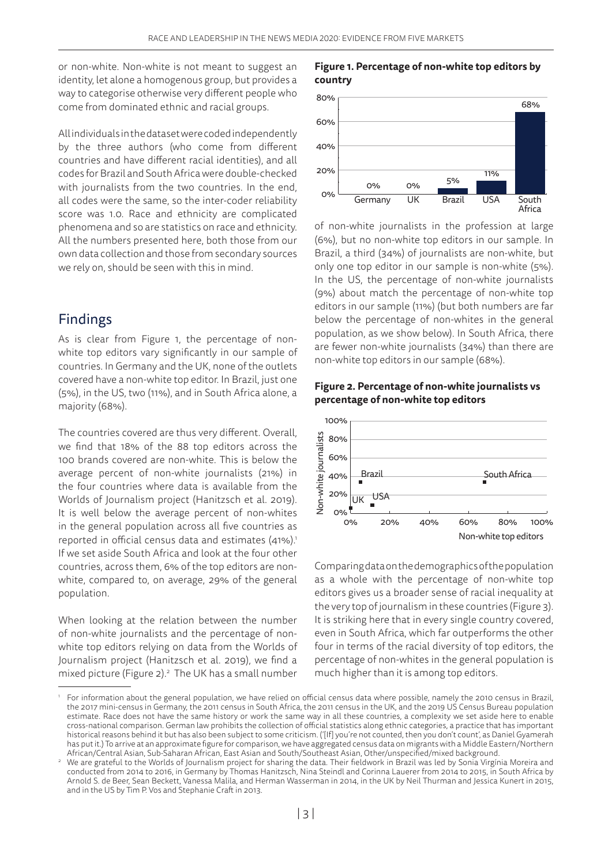or non-white. Non-white is not meant to suggest an identity, let alone a homogenous group, but provides a way to categorise otherwise very different people who come from dominated ethnic and racial groups.

All individuals in the dataset were coded independently by the three authors (who come from different countries and have different racial identities), and all codes for Brazil and South Africa were double-checked with journalists from the two countries. In the end, all codes were the same, so the inter-coder reliability score was 1.0. Race and ethnicity are complicated phenomena and so are statistics on race and ethnicity. All the numbers presented here, both those from our own data collection and those from secondary sources we rely on, should be seen with this in mind.

### Findings

As is clear from Figure 1, the percentage of nonwhite top editors vary significantly in our sample of countries. In Germany and the UK, none of the outlets covered have a non-white top editor. In Brazil, just one (5%), in the US, two (11%), and in South Africa alone, a majority (68%).

The countries covered are thus very different. Overall, we find that 18% of the 88 top editors across the 100 brands covered are non-white. This is below the average percent of non-white journalists (21%) in the four countries where data is available from the Worlds of Journalism project (Hanitzsch et al. 2019). It is well below the average percent of non-whites in the general population across all five countries as reported in official census data and estimates (41%).<sup>1</sup> If we set aside South Africa and look at the four other countries, across them, 6% of the top editors are nonwhite, compared to, on average, 29% of the general population.

When looking at the relation between the number of non-white journalists and the percentage of nonwhite top editors relying on data from the Worlds of Journalism project (Hanitzsch et al. 2019), we find a mixed picture (Figure 2).<sup>2</sup> The UK has a small number

#### **Figure 1. Percentage of non-white top editors by country**



of non-white journalists in the profession at large (6%), but no non-white top editors in our sample. In Brazil, a third (34%) of journalists are non-white, but only one top editor in our sample is non-white (5%). In the US, the percentage of non-white journalists (9%) about match the percentage of non-white top editors in our sample (11%) (but both numbers are far below the percentage of non-whites in the general population, as we show below). In South Africa, there are fewer non-white journalists (34%) than there are non-white top editors in our sample (68%).





Comparing data on the demographics of the population as a whole with the percentage of non-white top editors gives us a broader sense of racial inequality at the very top of journalism in these countries (Figure 3). It is striking here that in every single country covered, even in South Africa, which far outperforms the other four in terms of the racial diversity of top editors, the percentage of non-whites in the general population is much higher than it is among top editors.

<sup>1</sup> For information about the general population, we have relied on official census data where possible, namely the 2010 census in Brazil, the 2017 mini-census in Germany, the 2011 census in South Africa, the 2011 census in the UK, and the 2019 US Census Bureau population estimate. Race does not have the same history or work the same way in all these countries, a complexity we set aside here to enable cross-national comparison. German law prohibits the collection of official statistics along ethnic categories, a practice that has important historical reasons behind it but has also been subject to some criticism. ('[If] you're not counted, then you don't count', as Daniel Gyamerah has put it.) To arrive at an approximate figure for comparison, we have aggregated census data on migrants with a Middle Eastern/Northern African/Central Asian, Sub-Saharan African, East Asian and South/Southeast Asian, Other/unspecified/mixed background.

<sup>2</sup> We are grateful to the Worlds of Journalism project for sharing the data. Their fieldwork in Brazil was led by Sonia Virgínia Moreira and conducted from 2014 to 2016, in Germany by Thomas Hanitzsch, Nina Steindl and Corinna Lauerer from 2014 to 2015, in South Africa by Arnold S. de Beer, Sean Beckett, Vanessa Malila, and Herman Wasserman in 2014, in the UK by Neil Thurman and Jessica Kunert in 2015, and in the US by Tim P. Vos and Stephanie Craft in 2013.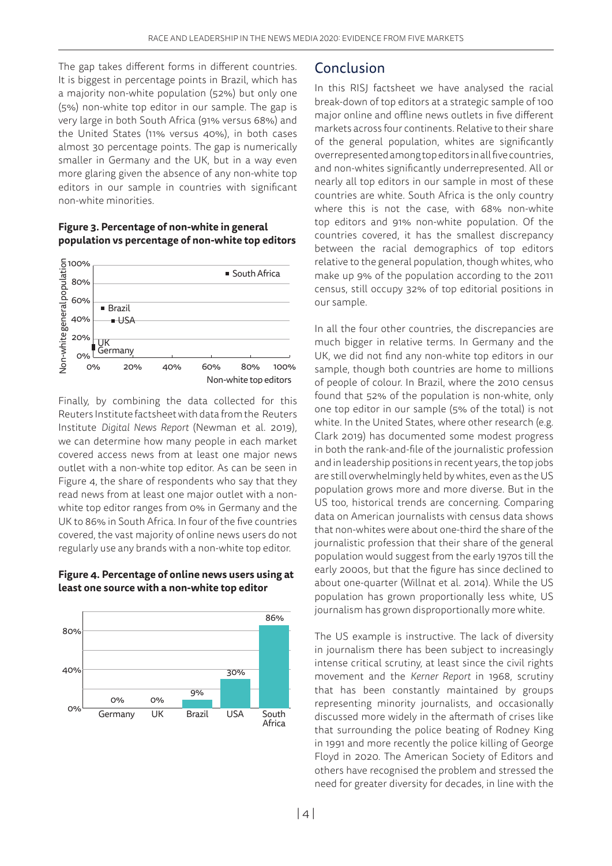The gap takes different forms in different countries. It is biggest in percentage points in Brazil, which has a majority non-white population (52%) but only one (5%) non-white top editor in our sample. The gap is very large in both South Africa (91% versus 68%) and the United States (11% versus 40%), in both cases almost 30 percentage points. The gap is numerically smaller in Germany and the UK, but in a way even more glaring given the absence of any non-white top editors in our sample in countries with significant non-white minorities.

#### **Figure 3. Percentage of non-white in general population vs percentage of non-white top editors**



Finally, by combining the data collected for this Reuters Institute factsheet with data from the Reuters Institute *Digital News Report* (Newman et al. 2019), we can determine how many people in each market covered access news from at least one major news outlet with a non-white top editor. As can be seen in Figure 4, the share of respondents who say that they read news from at least one major outlet with a nonwhite top editor ranges from 0% in Germany and the UK to 86% in South Africa. In four of the five countries covered, the vast majority of online news users do not regularly use any brands with a non-white top editor.

#### **Figure 4. Percentage of online news users using at least one source with a non-white top editor**



## Conclusion

In this RISJ factsheet we have analysed the racial break-down of top editors at a strategic sample of 100 major online and offline news outlets in five different markets across four continents. Relative to their share of the general population, whites are significantly overrepresented among top editors in all five countries, and non-whites significantly underrepresented. All or nearly all top editors in our sample in most of these countries are white. South Africa is the only country where this is not the case, with 68% non-white top editors and 91% non-white population. Of the countries covered, it has the smallest discrepancy between the racial demographics of top editors relative to the general population, though whites, who make up 9% of the population according to the 2011 census, still occupy 32% of top editorial positions in our sample.

In all the four other countries, the discrepancies are much bigger in relative terms. In Germany and the UK, we did not find any non-white top editors in our sample, though both countries are home to millions of people of colour. In Brazil, where the 2010 census found that 52% of the population is non-white, only one top editor in our sample (5% of the total) is not white. In the United States, where other research (e.g. Clark 2019) has documented some modest progress in both the rank-and-file of the journalistic profession and in leadership positions in recent years, the top jobs are still overwhelmingly held by whites, even as the US population grows more and more diverse. But in the US too, historical trends are concerning. Comparing data on American journalists with census data shows that non-whites were about one-third the share of the journalistic profession that their share of the general population would suggest from the early 1970s till the early 2000s, but that the figure has since declined to about one-quarter (Willnat et al. 2014). While the US population has grown proportionally less white, US journalism has grown disproportionally more white.

The US example is instructive. The lack of diversity in journalism there has been subject to increasingly intense critical scrutiny, at least since the civil rights movement and the *Kerner Report* in 1968, scrutiny that has been constantly maintained by groups representing minority journalists, and occasionally discussed more widely in the aftermath of crises like that surrounding the police beating of Rodney King in 1991 and more recently the police killing of George Floyd in 2020. The American Society of Editors and others have recognised the problem and stressed the need for greater diversity for decades, in line with the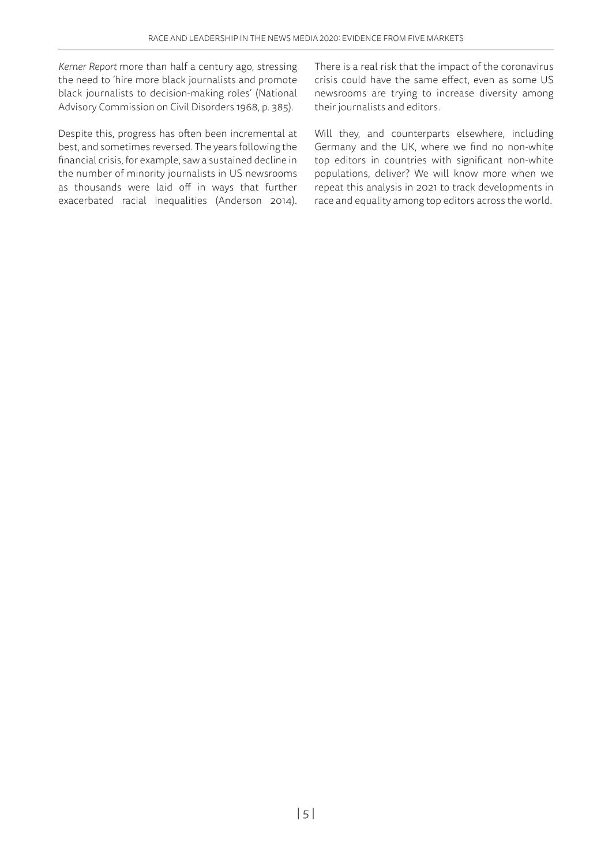*Kerner Report* more than half a century ago, stressing the need to 'hire more black journalists and promote black journalists to decision-making roles' (National Advisory Commission on Civil Disorders 1968, p. 385).

Despite this, progress has often been incremental at best, and sometimes reversed. The years following the financial crisis, for example, saw a sustained decline in the number of minority journalists in US newsrooms as thousands were laid off in ways that further exacerbated racial inequalities (Anderson 2014).

There is a real risk that the impact of the coronavirus crisis could have the same effect, even as some US newsrooms are trying to increase diversity among their journalists and editors.

Will they, and counterparts elsewhere, including Germany and the UK, where we find no non-white top editors in countries with significant non-white populations, deliver? We will know more when we repeat this analysis in 2021 to track developments in race and equality among top editors across the world.